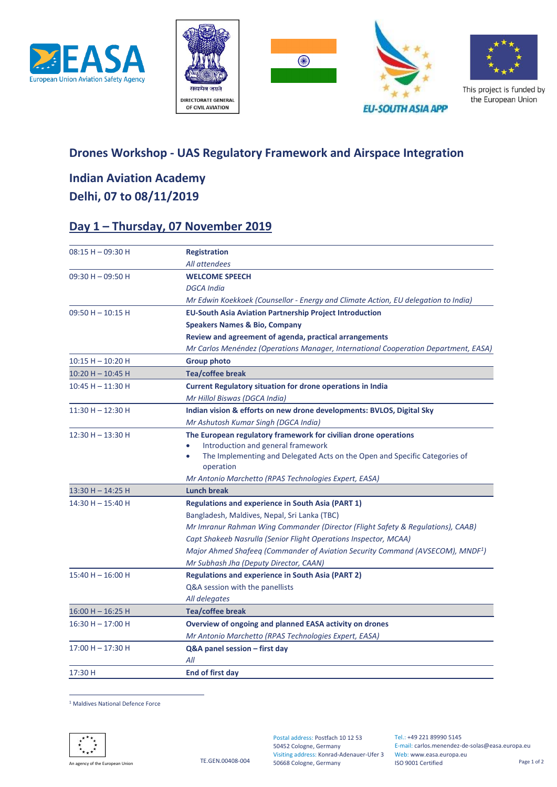





This project is funded by the European Union

**EU-SOUTH ASIA APP** 

#### **Drones Workshop - UAS Regulatory Framework and Airspace Integration**

## **Indian Aviation Academy Delhi, 07 to 08/11/2019**

### **Day 1 – Thursday, 07 November 2019**

| $08:15 H - 09:30 H$ | <b>Registration</b>                                                                        |
|---------------------|--------------------------------------------------------------------------------------------|
|                     | All attendees                                                                              |
| $09:30 H - 09:50 H$ | <b>WELCOME SPEECH</b>                                                                      |
|                     | <b>DGCA</b> India                                                                          |
|                     | Mr Edwin Koekkoek (Counsellor - Energy and Climate Action, EU delegation to India)         |
| $09:50 H - 10:15 H$ | <b>EU-South Asia Aviation Partnership Project Introduction</b>                             |
|                     | <b>Speakers Names &amp; Bio, Company</b>                                                   |
|                     | Review and agreement of agenda, practical arrangements                                     |
|                     | Mr Carlos Menéndez (Operations Manager, International Cooperation Department, EASA)        |
| $10:15 H - 10:20 H$ | <b>Group photo</b>                                                                         |
| 10:20 H - 10:45 H   | <b>Tea/coffee break</b>                                                                    |
| $10:45 H - 11:30 H$ | <b>Current Regulatory situation for drone operations in India</b>                          |
|                     | Mr Hillol Biswas (DGCA India)                                                              |
| $11:30 H - 12:30 H$ | Indian vision & efforts on new drone developments: BVLOS, Digital Sky                      |
|                     | Mr Ashutosh Kumar Singh (DGCA India)                                                       |
| $12:30 H - 13:30 H$ | The European regulatory framework for civilian drone operations                            |
|                     | Introduction and general framework                                                         |
|                     | The Implementing and Delegated Acts on the Open and Specific Categories of<br>operation    |
|                     | Mr Antonio Marchetto (RPAS Technologies Expert, EASA)                                      |
| 13:30 H - 14:25 H   | <b>Lunch break</b>                                                                         |
| $14:30 H - 15:40 H$ | <b>Regulations and experience in South Asia (PART 1)</b>                                   |
|                     | Bangladesh, Maldives, Nepal, Sri Lanka (TBC)                                               |
|                     | Mr Imranur Rahman Wing Commander (Director (Flight Safety & Regulations), CAAB)            |
|                     | Capt Shakeeb Nasrulla (Senior Flight Operations Inspector, MCAA)                           |
|                     | Major Ahmed Shafeeq (Commander of Aviation Security Command (AVSECOM), MNDF <sup>1</sup> ) |
|                     | Mr Subhash Jha (Deputy Director, CAAN)                                                     |
| $15:40 H - 16:00 H$ | <b>Regulations and experience in South Asia (PART 2)</b>                                   |
|                     | Q&A session with the panellists                                                            |
|                     | All delegates                                                                              |
| $16:00 H - 16:25 H$ | Tea/coffee break                                                                           |
| $16:30 H - 17:00 H$ | Overview of ongoing and planned EASA activity on drones                                    |
|                     | Mr Antonio Marchetto (RPAS Technologies Expert, EASA)                                      |
| 17:00 H - 17:30 H   | Q&A panel session - first day                                                              |
|                     | All                                                                                        |
| 17:30 H             | End of first day                                                                           |
|                     |                                                                                            |

 $\overline{a}$ <sup>1</sup> Maldives National Defence Force



An agency of the European Union<br>An agency of the European Union

Web: www.easa.europa.eu Visiting address: Konrad-Adenauer-Ufer 3 Postal address: Postfach 10 12 53 50452 Cologne, Germany 50668 Cologne, Germany

Tel.: +49 221 89990 5145 E-mail: carlos.menendez-de-solas@easa.europa.eu ISO 9001 Certified Page 1 of 2